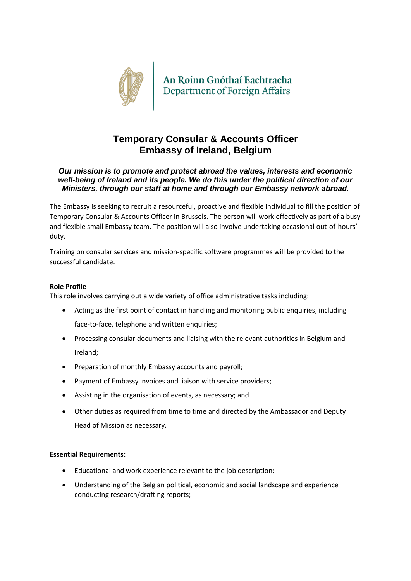

# **Temporary Consular & Accounts Officer Embassy of Ireland, Belgium**

# *Our mission is to promote and protect abroad the values, interests and economic well-being of Ireland and its people. We do this under the political direction of our Ministers, through our staff at home and through our Embassy network abroad.*

The Embassy is seeking to recruit a resourceful, proactive and flexible individual to fill the position of Temporary Consular & Accounts Officer in Brussels. The person will work effectively as part of a busy and flexible small Embassy team. The position will also involve undertaking occasional out-of-hours' duty.

Training on consular services and mission-specific software programmes will be provided to the successful candidate.

## **Role Profile**

This role involves carrying out a wide variety of office administrative tasks including:

- Acting as the first point of contact in handling and monitoring public enquiries, including face-to-face, telephone and written enquiries;
- Processing consular documents and liaising with the relevant authorities in Belgium and Ireland;
- Preparation of monthly Embassy accounts and payroll;
- Payment of Embassy invoices and liaison with service providers;
- Assisting in the organisation of events, as necessary; and
- Other duties as required from time to time and directed by the Ambassador and Deputy Head of Mission as necessary.

## **Essential Requirements:**

- Educational and work experience relevant to the job description;
- Understanding of the Belgian political, economic and social landscape and experience conducting research/drafting reports;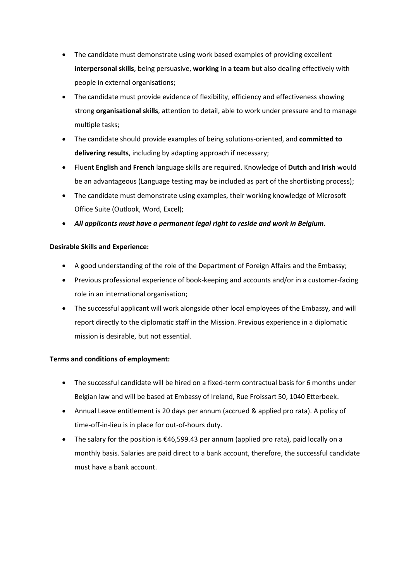- The candidate must demonstrate using work based examples of providing excellent **interpersonal skills**, being persuasive, **working in a team** but also dealing effectively with people in external organisations;
- The candidate must provide evidence of flexibility, efficiency and effectiveness showing strong **organisational skills**, attention to detail, able to work under pressure and to manage multiple tasks;
- The candidate should provide examples of being solutions-oriented, and **committed to delivering results**, including by adapting approach if necessary;
- Fluent **English** and **French** language skills are required. Knowledge of **Dutch** and **Irish** would be an advantageous (Language testing may be included as part of the shortlisting process);
- The candidate must demonstrate using examples, their working knowledge of Microsoft Office Suite (Outlook, Word, Excel);
- *All applicants must have a permanent legal right to reside and work in Belgium.*

# **Desirable Skills and Experience:**

- A good understanding of the role of the Department of Foreign Affairs and the Embassy;
- Previous professional experience of book-keeping and accounts and/or in a customer-facing role in an international organisation;
- The successful applicant will work alongside other local employees of the Embassy, and will report directly to the diplomatic staff in the Mission. Previous experience in a diplomatic mission is desirable, but not essential.

# **Terms and conditions of employment:**

- The successful candidate will be hired on a fixed-term contractual basis for 6 months under Belgian law and will be based at Embassy of Ireland, Rue Froissart 50, 1040 Etterbeek.
- Annual Leave entitlement is 20 days per annum (accrued & applied pro rata). A policy of time-off-in-lieu is in place for out-of-hours duty.
- The salary for the position is  $\epsilon$ 46,599.43 per annum (applied pro rata), paid locally on a monthly basis. Salaries are paid direct to a bank account, therefore, the successful candidate must have a bank account.